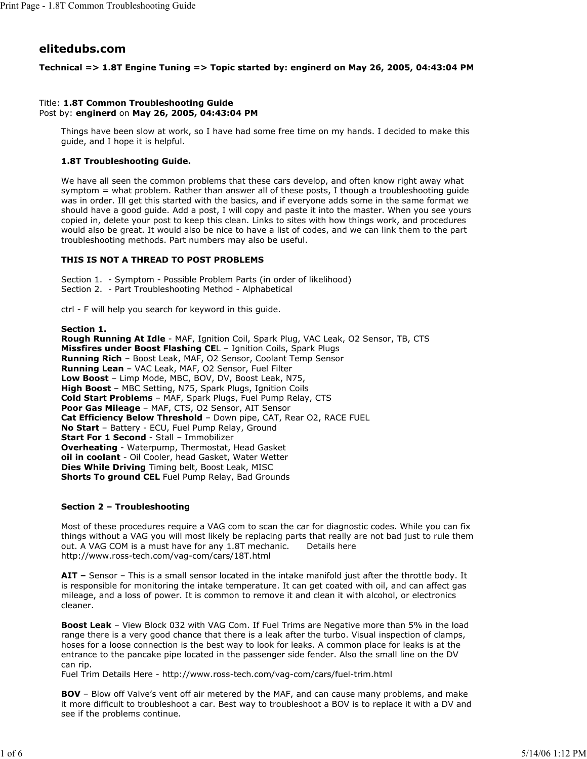# **elitedubs.com**

# **Technical => 1.8T Engine Tuning => Topic started by: enginerd on May 26, 2005, 04:43:04 PM**

# Title: **1.8T Common Troubleshooting Guide** Post by: **enginerd** on **May 26, 2005, 04:43:04 PM**

Things have been slow at work, so I have had some free time on my hands. I decided to make this guide, and I hope it is helpful.

# **1.8T Troubleshooting Guide.**

We have all seen the common problems that these cars develop, and often know right away what symptom = what problem. Rather than answer all of these posts, I though a troubleshooting guide was in order. Ill get this started with the basics, and if everyone adds some in the same format we should have a good guide. Add a post, I will copy and paste it into the master. When you see yours copied in, delete your post to keep this clean. Links to sites with how things work, and procedures would also be great. It would also be nice to have a list of codes, and we can link them to the part troubleshooting methods. Part numbers may also be useful.

# **THIS IS NOT A THREAD TO POST PROBLEMS**

Section 1. - Symptom - Possible Problem Parts (in order of likelihood) Section 2. - Part Troubleshooting Method - Alphabetical

ctrl - F will help you search for keyword in this guide.

**Section 1.**

**Rough Running At Idle** - MAF, Ignition Coil, Spark Plug, VAC Leak, O2 Sensor, TB, CTS **Missfires under Boost Flashing CE**L – Ignition Coils, Spark Plugs **Running Rich** – Boost Leak, MAF, O2 Sensor, Coolant Temp Sensor **Running Lean** – VAC Leak, MAF, O2 Sensor, Fuel Filter **Low Boost** – Limp Mode, MBC, BOV, DV, Boost Leak, N75, **High Boost** – MBC Setting, N75, Spark Plugs, Ignition Coils **Cold Start Problems** – MAF, Spark Plugs, Fuel Pump Relay, CTS **Poor Gas Mileage** – MAF, CTS, O2 Sensor, AIT Sensor **Cat Efficiency Below Threshold** – Down pipe, CAT, Rear O2, RACE FUEL **No Start** – Battery - ECU, Fuel Pump Relay, Ground **Start For 1 Second** - Stall – Immobilizer **Overheating** - Waterpump, Thermostat, Head Gasket **oil in coolant** - Oil Cooler, head Gasket, Water Wetter **Dies While Driving** Timing belt, Boost Leak, MISC **Shorts To ground CEL** Fuel Pump Relay, Bad Grounds

# **Section 2 – Troubleshooting**

Most of these procedures require a VAG com to scan the car for diagnostic codes. While you can fix things without a VAG you will most likely be replacing parts that really are not bad just to rule them out. A VAG COM is a must have for any 1.8T mechanic. Details here http://www.ross-tech.com/vag-com/cars/18T.html

**AIT –** Sensor – This is a small sensor located in the intake manifold just after the throttle body. It is responsible for monitoring the intake temperature. It can get coated with oil, and can affect gas mileage, and a loss of power. It is common to remove it and clean it with alcohol, or electronics cleaner.

**Boost Leak** – View Block 032 with VAG Com. If Fuel Trims are Negative more than 5% in the load range there is a very good chance that there is a leak after the turbo. Visual inspection of clamps, hoses for a loose connection is the best way to look for leaks. A common place for leaks is at the entrance to the pancake pipe located in the passenger side fender. Also the small line on the DV can rip.

Fuel Trim Details Here - http://www.ross-tech.com/vag-com/cars/fuel-trim.html

**BOV** – Blow off Valve's vent off air metered by the MAF, and can cause many problems, and make it more difficult to troubleshoot a car. Best way to troubleshoot a BOV is to replace it with a DV and see if the problems continue.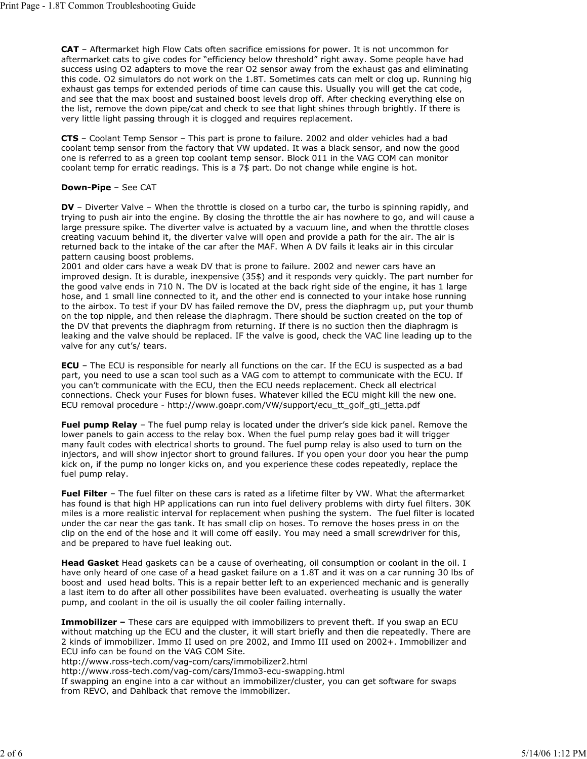**CAT** – Aftermarket high Flow Cats often sacrifice emissions for power. It is not uncommon for aftermarket cats to give codes for "efficiency below threshold" right away. Some people have had success using O2 adapters to move the rear O2 sensor away from the exhaust gas and eliminating this code. O2 simulators do not work on the 1.8T. Sometimes cats can melt or clog up. Running hig exhaust gas temps for extended periods of time can cause this. Usually you will get the cat code, and see that the max boost and sustained boost levels drop off. After checking everything else on the list, remove the down pipe/cat and check to see that light shines through brightly. If there is very little light passing through it is clogged and requires replacement.

**CTS** – Coolant Temp Sensor – This part is prone to failure. 2002 and older vehicles had a bad coolant temp sensor from the factory that VW updated. It was a black sensor, and now the good one is referred to as a green top coolant temp sensor. Block 011 in the VAG COM can monitor coolant temp for erratic readings. This is a 7\$ part. Do not change while engine is hot.

#### **Down-Pipe** – See CAT

**DV** – Diverter Valve – When the throttle is closed on a turbo car, the turbo is spinning rapidly, and trying to push air into the engine. By closing the throttle the air has nowhere to go, and will cause a large pressure spike. The diverter valve is actuated by a vacuum line, and when the throttle closes creating vacuum behind it, the diverter valve will open and provide a path for the air. The air is returned back to the intake of the car after the MAF. When A DV fails it leaks air in this circular pattern causing boost problems.

2001 and older cars have a weak DV that is prone to failure. 2002 and newer cars have an improved design. It is durable, inexpensive (35\$) and it responds very quickly. The part number for the good valve ends in 710 N. The DV is located at the back right side of the engine, it has 1 large hose, and 1 small line connected to it, and the other end is connected to your intake hose running to the airbox. To test if your DV has failed remove the DV, press the diaphragm up, put your thumb on the top nipple, and then release the diaphragm. There should be suction created on the top of the DV that prevents the diaphragm from returning. If there is no suction then the diaphragm is leaking and the valve should be replaced. IF the valve is good, check the VAC line leading up to the valve for any cut's/ tears.

**ECU** – The ECU is responsible for nearly all functions on the car. If the ECU is suspected as a bad part, you need to use a scan tool such as a VAG com to attempt to communicate with the ECU. If you can't communicate with the ECU, then the ECU needs replacement. Check all electrical connections. Check your Fuses for blown fuses. Whatever killed the ECU might kill the new one. ECU removal procedure - http://www.goapr.com/VW/support/ecu\_tt\_golf\_gti\_jetta.pdf

**Fuel pump Relay** – The fuel pump relay is located under the driver's side kick panel. Remove the lower panels to gain access to the relay box. When the fuel pump relay goes bad it will trigger many fault codes with electrical shorts to ground. The fuel pump relay is also used to turn on the injectors, and will show injector short to ground failures. If you open your door you hear the pump kick on, if the pump no longer kicks on, and you experience these codes repeatedly, replace the fuel pump relay.

**Fuel Filter** – The fuel filter on these cars is rated as a lifetime filter by VW. What the aftermarket has found is that high HP applications can run into fuel delivery problems with dirty fuel filters. 30K miles is a more realistic interval for replacement when pushing the system. The fuel filter is located under the car near the gas tank. It has small clip on hoses. To remove the hoses press in on the clip on the end of the hose and it will come off easily. You may need a small screwdriver for this, and be prepared to have fuel leaking out.

**Head Gasket** Head gaskets can be a cause of overheating, oil consumption or coolant in the oil. I have only heard of one case of a head gasket failure on a 1.8T and it was on a car running 30 lbs of boost and used head bolts. This is a repair better left to an experienced mechanic and is generally a last item to do after all other possibilites have been evaluated. overheating is usually the water pump, and coolant in the oil is usually the oil cooler failing internally.

**Immobilizer –** These cars are equipped with immobilizers to prevent theft. If you swap an ECU without matching up the ECU and the cluster, it will start briefly and then die repeatedly. There are 2 kinds of immobilizer. Immo II used on pre 2002, and Immo III used on 2002+. Immobilizer and ECU info can be found on the VAG COM Site.

http://www.ross-tech.com/vag-com/cars/immobilizer2.html

http://www.ross-tech.com/vag-com/cars/Immo3-ecu-swapping.html

If swapping an engine into a car without an immobilizer/cluster, you can get software for swaps from REVO, and Dahlback that remove the immobilizer.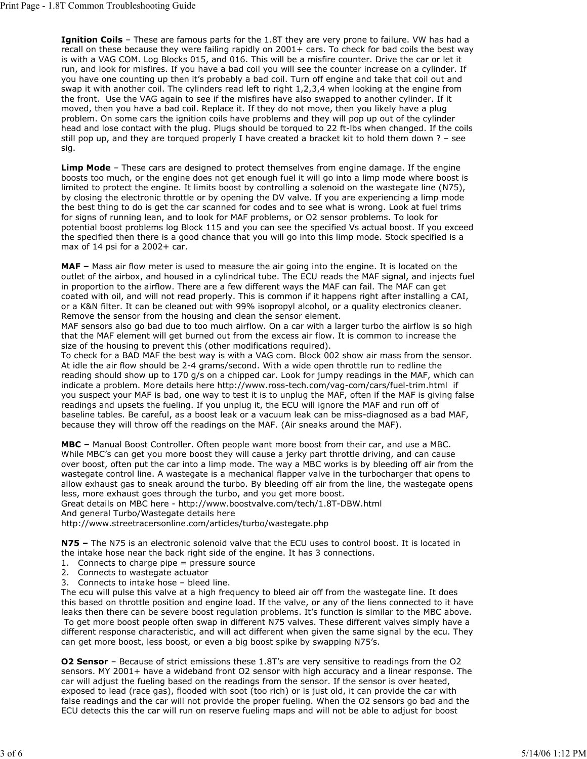**Ignition Coils** – These are famous parts for the 1.8T they are very prone to failure. VW has had a recall on these because they were failing rapidly on 2001+ cars. To check for bad coils the best way is with a VAG COM. Log Blocks 015, and 016. This will be a misfire counter. Drive the car or let it run, and look for misfires. If you have a bad coil you will see the counter increase on a cylinder. If you have one counting up then it's probably a bad coil. Turn off engine and take that coil out and swap it with another coil. The cylinders read left to right 1,2,3,4 when looking at the engine from the front. Use the VAG again to see if the misfires have also swapped to another cylinder. If it moved, then you have a bad coil. Replace it. If they do not move, then you likely have a plug problem. On some cars the ignition coils have problems and they will pop up out of the cylinder head and lose contact with the plug. Plugs should be torqued to 22 ft-lbs when changed. If the coils still pop up, and they are torqued properly I have created a bracket kit to hold them down ? – see sig.

**Limp Mode** – These cars are designed to protect themselves from engine damage. If the engine boosts too much, or the engine does not get enough fuel it will go into a limp mode where boost is limited to protect the engine. It limits boost by controlling a solenoid on the wastegate line (N75), by closing the electronic throttle or by opening the DV valve. If you are experiencing a limp mode the best thing to do is get the car scanned for codes and to see what is wrong. Look at fuel trims for signs of running lean, and to look for MAF problems, or O2 sensor problems. To look for potential boost problems log Block 115 and you can see the specified Vs actual boost. If you exceed the specified then there is a good chance that you will go into this limp mode. Stock specified is a max of 14 psi for a 2002+ car.

**MAF –** Mass air flow meter is used to measure the air going into the engine. It is located on the outlet of the airbox, and housed in a cylindrical tube. The ECU reads the MAF signal, and injects fuel in proportion to the airflow. There are a few different ways the MAF can fail. The MAF can get coated with oil, and will not read properly. This is common if it happens right after installing a CAI, or a K&N filter. It can be cleaned out with 99% isopropyl alcohol, or a quality electronics cleaner. Remove the sensor from the housing and clean the sensor element.

MAF sensors also go bad due to too much airflow. On a car with a larger turbo the airflow is so high that the MAF element will get burned out from the excess air flow. It is common to increase the size of the housing to prevent this (other modifications required).

To check for a BAD MAF the best way is with a VAG com. Block 002 show air mass from the sensor. At idle the air flow should be 2-4 grams/second. With a wide open throttle run to redline the reading should show up to 170 g/s on a chipped car. Look for jumpy readings in the MAF, which can indicate a problem. More details here http://www.ross-tech.com/vag-com/cars/fuel-trim.html if you suspect your MAF is bad, one way to test it is to unplug the MAF, often if the MAF is giving false readings and upsets the fueling. If you unplug it, the ECU will ignore the MAF and run off of baseline tables. Be careful, as a boost leak or a vacuum leak can be miss-diagnosed as a bad MAF, because they will throw off the readings on the MAF. (Air sneaks around the MAF).

**MBC –** Manual Boost Controller. Often people want more boost from their car, and use a MBC. While MBC's can get you more boost they will cause a jerky part throttle driving, and can cause over boost, often put the car into a limp mode. The way a MBC works is by bleeding off air from the wastegate control line. A wastegate is a mechanical flapper valve in the turbocharger that opens to allow exhaust gas to sneak around the turbo. By bleeding off air from the line, the wastegate opens less, more exhaust goes through the turbo, and you get more boost.

Great details on MBC here - http://www.boostvalve.com/tech/1.8T-DBW.html And general Turbo/Wastegate details here

http://www.streetracersonline.com/articles/turbo/wastegate.php

**N75 –** The N75 is an electronic solenoid valve that the ECU uses to control boost. It is located in the intake hose near the back right side of the engine. It has 3 connections.

- 1. Connects to charge pipe = pressure source
- 2. Connects to wastegate actuator
- 3. Connects to intake hose bleed line.

The ecu will pulse this valve at a high frequency to bleed air off from the wastegate line. It does this based on throttle position and engine load. If the valve, or any of the liens connected to it have leaks then there can be severe boost regulation problems. It's function is similar to the MBC above. To get more boost people often swap in different N75 valves. These different valves simply have a different response characteristic, and will act different when given the same signal by the ecu. They can get more boost, less boost, or even a big boost spike by swapping N75's.

**O2 Sensor** – Because of strict emissions these 1.8T's are very sensitive to readings from the O2 sensors. MY 2001+ have a wideband front O2 sensor with high accuracy and a linear response. The car will adjust the fueling based on the readings from the sensor. If the sensor is over heated, exposed to lead (race gas), flooded with soot (too rich) or is just old, it can provide the car with false readings and the car will not provide the proper fueling. When the O2 sensors go bad and the ECU detects this the car will run on reserve fueling maps and will not be able to adjust for boost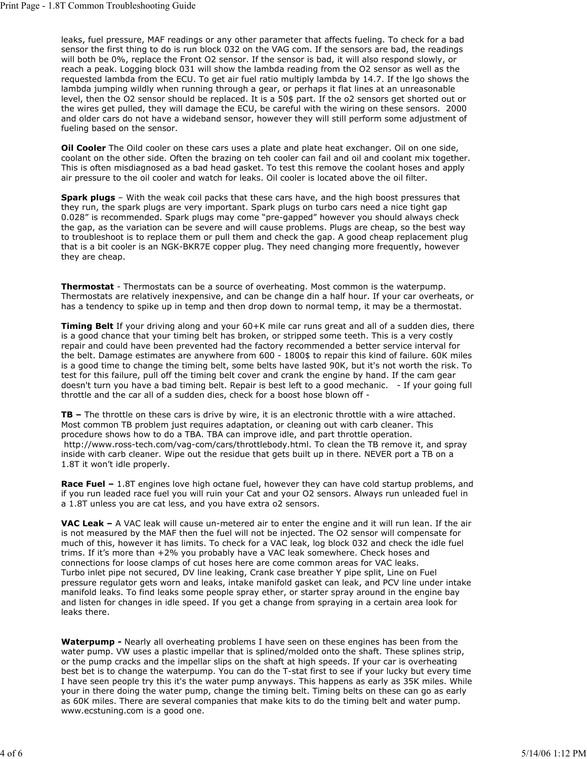leaks, fuel pressure, MAF readings or any other parameter that affects fueling. To check for a bad sensor the first thing to do is run block 032 on the VAG com. If the sensors are bad, the readings will both be 0%, replace the Front O2 sensor. If the sensor is bad, it will also respond slowly, or reach a peak. Logging block 031 will show the lambda reading from the O2 sensor as well as the requested lambda from the ECU. To get air fuel ratio multiply lambda by 14.7. If the lgo shows the lambda jumping wildly when running through a gear, or perhaps it flat lines at an unreasonable level, then the O2 sensor should be replaced. It is a 50\$ part. If the o2 sensors get shorted out or the wires get pulled, they will damage the ECU, be careful with the wiring on these sensors. 2000 and older cars do not have a wideband sensor, however they will still perform some adjustment of fueling based on the sensor.

**Oil Cooler** The Oild cooler on these cars uses a plate and plate heat exchanger. Oil on one side, coolant on the other side. Often the brazing on teh cooler can fail and oil and coolant mix together. This is often misdiagnosed as a bad head gasket. To test this remove the coolant hoses and apply air pressure to the oil cooler and watch for leaks. Oil cooler is located above the oil filter.

**Spark plugs** – With the weak coil packs that these cars have, and the high boost pressures that they run, the spark plugs are very important. Spark plugs on turbo cars need a nice tight gap 0.028" is recommended. Spark plugs may come "pre-gapped" however you should always check the gap, as the variation can be severe and will cause problems. Plugs are cheap, so the best way to troubleshoot is to replace them or pull them and check the gap. A good cheap replacement plug that is a bit cooler is an NGK-BKR7E copper plug. They need changing more frequently, however they are cheap.

**Thermostat** - Thermostats can be a source of overheating. Most common is the waterpump. Thermostats are relatively inexpensive, and can be change din a half hour. If your car overheats, or has a tendency to spike up in temp and then drop down to normal temp, it may be a thermostat.

**Timing Belt** If your driving along and your 60+K mile car runs great and all of a sudden dies, there is a good chance that your timing belt has broken, or stripped some teeth. This is a very costly repair and could have been prevented had the factory recommended a better service interval for the belt. Damage estimates are anywhere from 600 - 1800\$ to repair this kind of failure. 60K miles is a good time to change the timing belt, some belts have lasted 90K, but it's not worth the risk. To test for this failure, pull off the timing belt cover and crank the engine by hand. If the cam gear doesn't turn you have a bad timing belt. Repair is best left to a good mechanic. - If your going full throttle and the car all of a sudden dies, check for a boost hose blown off -

**TB –** The throttle on these cars is drive by wire, it is an electronic throttle with a wire attached. Most common TB problem just requires adaptation, or cleaning out with carb cleaner. This procedure shows how to do a TBA. TBA can improve idle, and part throttle operation. http://www.ross-tech.com/vag-com/cars/throttlebody.html. To clean the TB remove it, and spray inside with carb cleaner. Wipe out the residue that gets built up in there. NEVER port a TB on a 1.8T it won't idle properly.

**Race Fuel –** 1.8T engines love high octane fuel, however they can have cold startup problems, and if you run leaded race fuel you will ruin your Cat and your O2 sensors. Always run unleaded fuel in a 1.8T unless you are cat less, and you have extra o2 sensors.

**VAC Leak –** A VAC leak will cause un-metered air to enter the engine and it will run lean. If the air is not measured by the MAF then the fuel will not be injected. The O2 sensor will compensate for much of this, however it has limits. To check for a VAC leak, log block 032 and check the idle fuel trims. If it's more than +2% you probably have a VAC leak somewhere. Check hoses and connections for loose clamps of cut hoses here are come common areas for VAC leaks. Turbo inlet pipe not secured, DV line leaking, Crank case breather Y pipe split, Line on Fuel pressure regulator gets worn and leaks, intake manifold gasket can leak, and PCV line under intake manifold leaks. To find leaks some people spray ether, or starter spray around in the engine bay and listen for changes in idle speed. If you get a change from spraying in a certain area look for leaks there.

**Waterpump -** Nearly all overheating problems I have seen on these engines has been from the water pump. VW uses a plastic impellar that is splined/molded onto the shaft. These splines strip, or the pump cracks and the impellar slips on the shaft at high speeds. If your car is overheating best bet is to change the waterpump. You can do the T-stat first to see if your lucky but every time I have seen people try this it's the water pump anyways. This happens as early as 35K miles. While your in there doing the water pump, change the timing belt. Timing belts on these can go as early as 60K miles. There are several companies that make kits to do the timing belt and water pump. www.ecstuning.com is a good one.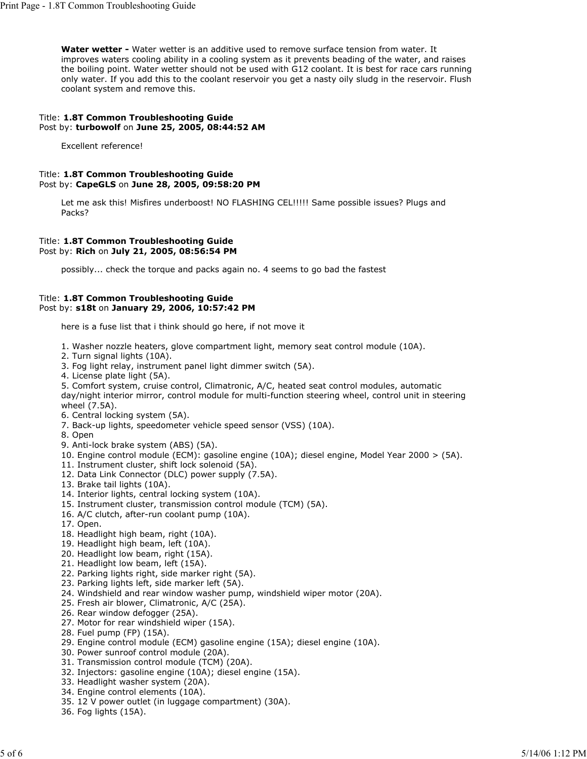**Water wetter -** Water wetter is an additive used to remove surface tension from water. It improves waters cooling ability in a cooling system as it prevents beading of the water, and raises the boiling point. Water wetter should not be used with G12 coolant. It is best for race cars running only water. If you add this to the coolant reservoir you get a nasty oily sludg in the reservoir. Flush coolant system and remove this.

### Title: **1.8T Common Troubleshooting Guide** Post by: **turbowolf** on **June 25, 2005, 08:44:52 AM**

Excellent reference!

# Title: **1.8T Common Troubleshooting Guide** Post by: **CapeGLS** on **June 28, 2005, 09:58:20 PM**

Let me ask this! Misfires underboost! NO FLASHING CEL!!!!! Same possible issues? Plugs and Packs?

#### Title: **1.8T Common Troubleshooting Guide** Post by: **Rich** on **July 21, 2005, 08:56:54 PM**

possibly... check the torque and packs again no. 4 seems to go bad the fastest

# Title: **1.8T Common Troubleshooting Guide** Post by: **s18t** on **January 29, 2006, 10:57:42 PM**

here is a fuse list that i think should go here, if not move it

- 1. Washer nozzle heaters, glove compartment light, memory seat control module (10A).
- 2. Turn signal lights (10A).
- 3. Fog light relay, instrument panel light dimmer switch (5A).
- 4. License plate light (5A).

5. Comfort system, cruise control, Climatronic, A/C, heated seat control modules, automatic day/night interior mirror, control module for multi-function steering wheel, control unit in steering wheel (7.5A).

- 6. Central locking system (5A).
- 7. Back-up lights, speedometer vehicle speed sensor (VSS) (10A).
- 8. Open
- 9. Anti-lock brake system (ABS) (5A).
- 10. Engine control module (ECM): gasoline engine (10A); diesel engine, Model Year 2000 > (5A).
- 11. Instrument cluster, shift lock solenoid (5A).
- 12. Data Link Connector (DLC) power supply (7.5A).
- 13. Brake tail lights (10A).
- 14. Interior lights, central locking system (10A).
- 15. Instrument cluster, transmission control module (TCM) (5A).
- 16. A/C clutch, after-run coolant pump (10A).
- 17. Open.
- 18. Headlight high beam, right (10A).
- 19. Headlight high beam, left (10A).
- 20. Headlight low beam, right (15A).
- 21. Headlight low beam, left (15A).
- 22. Parking lights right, side marker right (5A).
- 23. Parking lights left, side marker left (5A).
- 24. Windshield and rear window washer pump, windshield wiper motor (20A).
- 25. Fresh air blower, Climatronic, A/C (25A).
- 26. Rear window defogger (25A).
- 27. Motor for rear windshield wiper (15A).
- 28. Fuel pump (FP) (15A).
- 29. Engine control module (ECM) gasoline engine (15A); diesel engine (10A).
- 30. Power sunroof control module (20A).
- 31. Transmission control module (TCM) (20A).
- 32. Injectors: gasoline engine (10A); diesel engine (15A).
- 33. Headlight washer system (20A).
- 34. Engine control elements (10A).
- 35. 12 V power outlet (in luggage compartment) (30A).
- 36. Fog lights (15A).